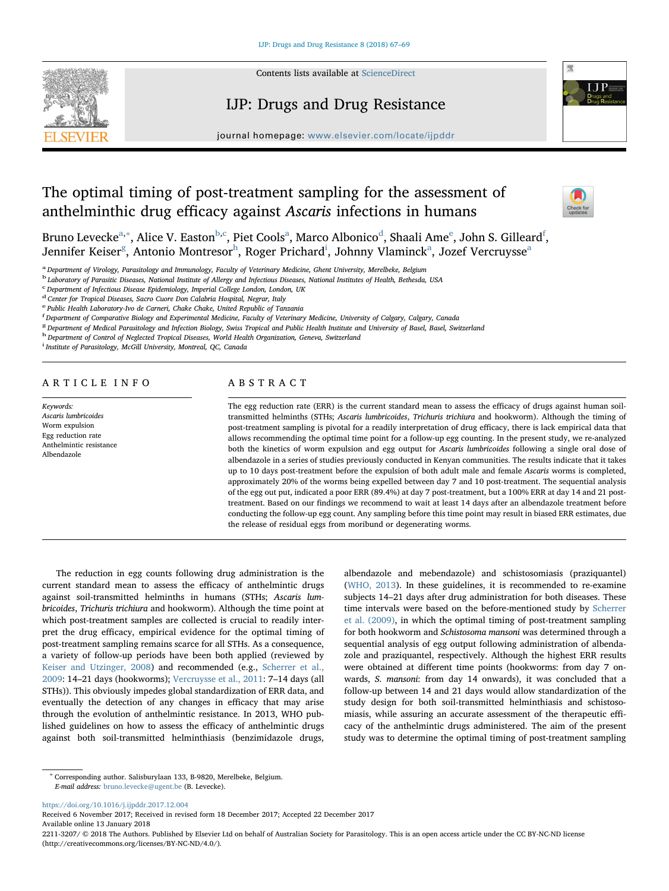

Contents lists available at [ScienceDirect](http://www.sciencedirect.com/science/journal/22113207)

## IJP: Drugs and Drug Resistance



journal homepage: [www.elsevier.com/locate/ijpddr](https://www.elsevier.com/locate/ijpddr)

# The optimal timing of post-treatment sampling for the assessment of anthelminthic drug efficacy against Ascaris infections in humans

Check for<br>[T](http://crossmark.crossref.org/dialog/?doi=10.1016/j.ijpddr.2017.12.004&domain=pdf)indates

Bruno Leveckeª,\*, Alice V. Easton<sup>[b](#page-0-2)[,c](#page-0-3)</sup>, Piet Coolsª, M[a](#page-0-0)rco Albonico<sup>[d](#page-0-4)</sup>, Shaali Am[e](#page-0-5)<sup>e</sup>, John S. Gilleard<sup>[f](#page-0-6)</sup>, Jenn[i](#page-0-9)fer Keiser $^{\rm g}$  $^{\rm g}$  $^{\rm g}$ , Antonio Montresor $^{\rm h}$  $^{\rm h}$  $^{\rm h}$ , Roger Prich[a](#page-0-0)rd $^{\rm i}$ , Johnny Vlaminck $^{\rm a}$ , Jozef Vercruysse $^{\rm a}$ 

<span id="page-0-0"></span>a Department of Virology, Parasitology and Immunology, Faculty of Veterinary Medicine, Ghent University, Merelbeke, Belgium

<span id="page-0-2"></span><sup>b</sup> Laboratory of Parasitic Diseases, National Institute of Allergy and Infectious Diseases, National Institutes of Health, Bethesda, USA

<span id="page-0-3"></span><sup>c</sup> Department of Infectious Disease Epidemiology, Imperial College London, London, UK

<span id="page-0-4"></span> $^{\rm d}$  Center for Tropical Diseases, Sacro Cuore Don Calabria Hospital, Negrar, Italy

<span id="page-0-5"></span>e Public Health Laboratory-Ivo de Carneri, Chake Chake, United Republic of Tanzania

<span id="page-0-6"></span>f Department of Comparative Biology and Experimental Medicine, Faculty of Veterinary Medicine, University of Calgary, Calgary, Canada

<span id="page-0-7"></span><sup>g</sup> Department of Medical Parasitology and Infection Biology, Swiss Tropical and Public Health Institute and University of Basel, Basel, Switzerland

<span id="page-0-8"></span>h Department of Control of Neglected Tropical Diseases, World Health Organization, Geneva, Switzerland

<span id="page-0-9"></span>i Institute of Parasitology, McGill University, Montreal, QC, Canada

### ARTICLE INFO

Keywords: Ascaris lumbricoides Worm expulsion Egg reduction rate Anthelmintic resistance Albendazole

## ABSTRACT

The egg reduction rate (ERR) is the current standard mean to assess the efficacy of drugs against human soiltransmitted helminths (STHs; Ascaris lumbricoides, Trichuris trichiura and hookworm). Although the timing of post-treatment sampling is pivotal for a readily interpretation of drug efficacy, there is lack empirical data that allows recommending the optimal time point for a follow-up egg counting. In the present study, we re-analyzed both the kinetics of worm expulsion and egg output for Ascaris lumbricoides following a single oral dose of albendazole in a series of studies previously conducted in Kenyan communities. The results indicate that it takes up to 10 days post-treatment before the expulsion of both adult male and female Ascaris worms is completed, approximately 20% of the worms being expelled between day 7 and 10 post-treatment. The sequential analysis of the egg out put, indicated a poor ERR (89.4%) at day 7 post-treatment, but a 100% ERR at day 14 and 21 posttreatment. Based on our findings we recommend to wait at least 14 days after an albendazole treatment before conducting the follow-up egg count. Any sampling before this time point may result in biased ERR estimates, due the release of residual eggs from moribund or degenerating worms.

The reduction in egg counts following drug administration is the current standard mean to assess the efficacy of anthelmintic drugs against soil-transmitted helminths in humans (STHs; Ascaris lumbricoides, Trichuris trichiura and hookworm). Although the time point at which post-treatment samples are collected is crucial to readily interpret the drug efficacy, empirical evidence for the optimal timing of post-treatment sampling remains scarce for all STHs. As a consequence, a variety of follow-up periods have been both applied (reviewed by [Keiser and Utzinger, 2008](#page-2-0)) and recommended (e.g., [Scherrer et al.,](#page-2-1) [2009:](#page-2-1) 14–21 days (hookworms); [Vercruysse et al., 2011](#page-2-2): 7–14 days (all STHs)). This obviously impedes global standardization of ERR data, and eventually the detection of any changes in efficacy that may arise through the evolution of anthelmintic resistance. In 2013, WHO published guidelines on how to assess the efficacy of anthelmintic drugs against both soil-transmitted helminthiasis (benzimidazole drugs,

albendazole and mebendazole) and schistosomiasis (praziquantel) ([WHO, 2013\)](#page-2-3). In these guidelines, it is recommended to re-examine subjects 14–21 days after drug administration for both diseases. These time intervals were based on the before-mentioned study by [Scherrer](#page-2-1) [et al. \(2009\),](#page-2-1) in which the optimal timing of post-treatment sampling for both hookworm and Schistosoma mansoni was determined through a sequential analysis of egg output following administration of albendazole and praziquantel, respectively. Although the highest ERR results were obtained at different time points (hookworms: from day 7 onwards, S. mansoni: from day 14 onwards), it was concluded that a follow-up between 14 and 21 days would allow standardization of the study design for both soil-transmitted helminthiasis and schistosomiasis, while assuring an accurate assessment of the therapeutic efficacy of the anthelmintic drugs administered. The aim of the present study was to determine the optimal timing of post-treatment sampling

<https://doi.org/10.1016/j.ijpddr.2017.12.004>

Received 6 November 2017; Received in revised form 18 December 2017; Accepted 22 December 2017 Available online 13 January 2018

2211-3207/ © 2018 The Authors. Published by Elsevier Ltd on behalf of Australian Society for Parasitology. This is an open access article under the CC BY-NC-ND license (http://creativecommons.org/licenses/BY-NC-ND/4.0/).

<span id="page-0-1"></span><sup>∗</sup> Corresponding author. Salisburylaan 133, B-9820, Merelbeke, Belgium. E-mail address: [bruno.levecke@ugent.be](mailto:bruno.levecke@ugent.be) (B. Levecke).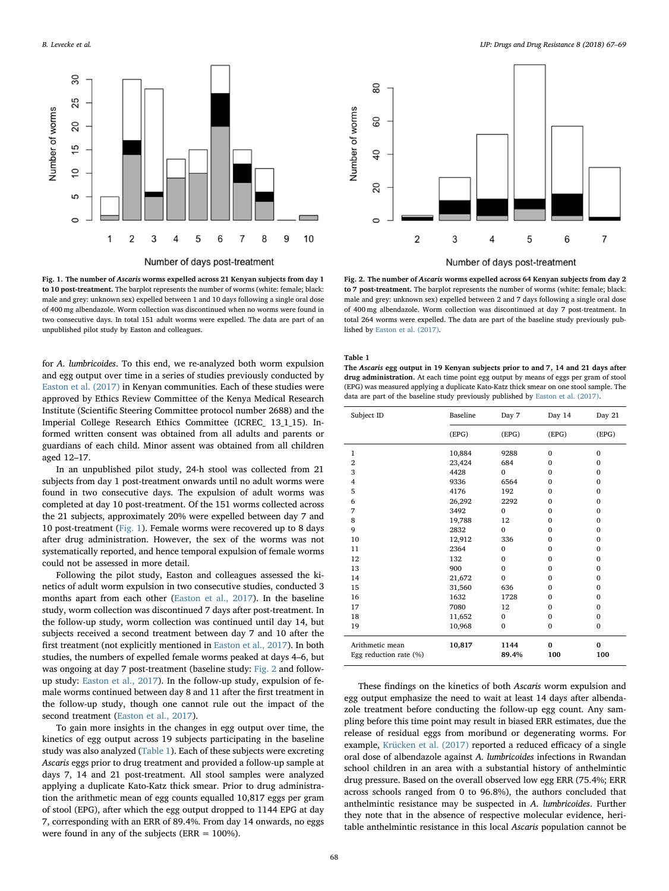<span id="page-1-0"></span>

<span id="page-1-1"></span>

Fig. 1. The number of Ascaris worms expelled across 21 Kenyan subjects from day 1 to 10 post-treatment. The barplot represents the number of worms (white: female; black: male and grey: unknown sex) expelled between 1 and 10 days following a single oral dose of 400 mg albendazole. Worm collection was discontinued when no worms were found in two consecutive days. In total 151 adult worms were expelled. The data are part of an unpublished pilot study by Easton and colleagues.

for A. lumbricoides. To this end, we re-analyzed both worm expulsion and egg output over time in a series of studies previously conducted by [Easton et al. \(2017\)](#page-2-4) in Kenyan communities. Each of these studies were approved by Ethics Review Committee of the Kenya Medical Research Institute (Scientific Steering Committee protocol number 2688) and the Imperial College Research Ethics Committee (ICREC\_ 13\_1\_15). Informed written consent was obtained from all adults and parents or guardians of each child. Minor assent was obtained from all children aged 12–17.

In an unpublished pilot study, 24-h stool was collected from 21 subjects from day 1 post-treatment onwards until no adult worms were found in two consecutive days. The expulsion of adult worms was completed at day 10 post-treatment. Of the 151 worms collected across the 21 subjects, approximately 20% were expelled between day 7 and 10 post-treatment [\(Fig. 1](#page-1-0)). Female worms were recovered up to 8 days after drug administration. However, the sex of the worms was not systematically reported, and hence temporal expulsion of female worms could not be assessed in more detail.

Following the pilot study, Easton and colleagues assessed the kinetics of adult worm expulsion in two consecutive studies, conducted 3 months apart from each other [\(Easton et al., 2017](#page-2-4)). In the baseline study, worm collection was discontinued 7 days after post-treatment. In the follow-up study, worm collection was continued until day 14, but subjects received a second treatment between day 7 and 10 after the first treatment (not explicitly mentioned in [Easton et al., 2017\)](#page-2-4). In both studies, the numbers of expelled female worms peaked at days 4–6, but was ongoing at day 7 post-treatment (baseline study: [Fig. 2](#page-1-1) and followup study: [Easton et al., 2017\)](#page-2-4). In the follow-up study, expulsion of female worms continued between day 8 and 11 after the first treatment in the follow-up study, though one cannot rule out the impact of the second treatment [\(Easton et al., 2017](#page-2-4)).

To gain more insights in the changes in egg output over time, the kinetics of egg output across 19 subjects participating in the baseline study was also analyzed [\(Table 1](#page-1-2)). Each of these subjects were excreting Ascaris eggs prior to drug treatment and provided a follow-up sample at days 7, 14 and 21 post-treatment. All stool samples were analyzed applying a duplicate Kato-Katz thick smear. Prior to drug administration the arithmetic mean of egg counts equalled 10,817 eggs per gram of stool (EPG), after which the egg output dropped to 1144 EPG at day 7, corresponding with an ERR of 89.4%. From day 14 onwards, no eggs were found in any of the subjects (ERR = 100%).

Fig. 2. The number of Ascaris worms expelled across 64 Kenyan subjects from day 2 to 7 post-treatment. The barplot represents the number of worms (white: female; black: male and grey: unknown sex) expelled between 2 and 7 days following a single oral dose of 400 mg albendazole. Worm collection was discontinued at day 7 post-treatment. In total 264 worms were expelled. The data are part of the baseline study previously published by [Easton et al. \(2017\)](#page-2-4).

#### <span id="page-1-2"></span>Table 1

The Ascaris egg output in 19 Kenyan subjects prior to and 7, 14 and 21 days after drug administration. At each time point egg output by means of eggs per gram of stool (EPG) was measured applying a duplicate Kato-Katz thick smear on one stool sample. The data are part of the baseline study previously published by [Easton et al. \(2017\).](#page-2-4)

| Subject ID             | Baseline | Day 7        | Day 14       | Day 21       |
|------------------------|----------|--------------|--------------|--------------|
|                        | (EPG)    | (EPG)        | (EPG)        | (EPG)        |
| 1                      | 10,884   | 9288         | $\Omega$     | $\Omega$     |
| $\overline{2}$         | 23,424   | 684          | $\Omega$     | $\mathbf{0}$ |
| 3                      | 4428     | $\mathbf{0}$ | $\Omega$     | $\mathbf{0}$ |
| 4                      | 9336     | 6564         | $\Omega$     | $\mathbf{0}$ |
| 5                      | 4176     | 192          | $\Omega$     | $\mathbf{0}$ |
| 6                      | 26,292   | 2292         | $\Omega$     | $\mathbf{0}$ |
| 7                      | 3492     | 0            | $\Omega$     | $\mathbf{0}$ |
| 8                      | 19,788   | 12           | $\Omega$     | $\mathbf{0}$ |
| 9                      | 2832     | 0            | $\Omega$     | $\mathbf{0}$ |
| 10                     | 12,912   | 336          | $\mathbf{0}$ | $\mathbf{0}$ |
| 11                     | 2364     | 0            | $\mathbf 0$  | $\mathbf{0}$ |
| 12                     | 132      | $\mathbf{0}$ | $\Omega$     | $\mathbf{0}$ |
| 13                     | 900      | $\mathbf{0}$ | $\mathbf 0$  | $\mathbf{0}$ |
| 14                     | 21,672   | $\mathbf{0}$ | $\Omega$     | $\mathbf{0}$ |
| 15                     | 31,560   | 636          | $\mathbf 0$  | $\mathbf{0}$ |
| 16                     | 1632     | 1728         | $\Omega$     | $\mathbf{0}$ |
| 17                     | 7080     | 12           | $\Omega$     | $\mathbf{0}$ |
| 18                     | 11,652   | $\mathbf{0}$ | $\Omega$     | $\mathbf{0}$ |
| 19                     | 10,968   | 0            | $\mathbf{0}$ | 0            |
| Arithmetic mean        | 10,817   | 1144         | $\bf{0}$     | $\bf{0}$     |
| Egg reduction rate (%) |          | 89.4%        | 100          | 100          |

These findings on the kinetics of both Ascaris worm expulsion and egg output emphasize the need to wait at least 14 days after albendazole treatment before conducting the follow-up egg count. Any sampling before this time point may result in biased ERR estimates, due the release of residual eggs from moribund or degenerating worms. For example, [Krücken et al. \(2017\)](#page-2-5) reported a reduced efficacy of a single oral dose of albendazole against A. lumbricoides infections in Rwandan school children in an area with a substantial history of anthelmintic drug pressure. Based on the overall observed low egg ERR (75.4%; ERR across schools ranged from 0 to 96.8%), the authors concluded that anthelmintic resistance may be suspected in A. lumbricoides. Further they note that in the absence of respective molecular evidence, heritable anthelmintic resistance in this local Ascaris population cannot be